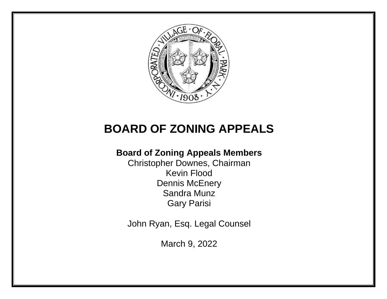

# **BOARD OF ZONING APPEALS**

# **Board of Zoning Appeals Members**

Christopher Downes, Chairman Kevin Flood Dennis McEnery Sandra Munz Gary Parisi

John Ryan, Esq. Legal Counsel

March 9, 2022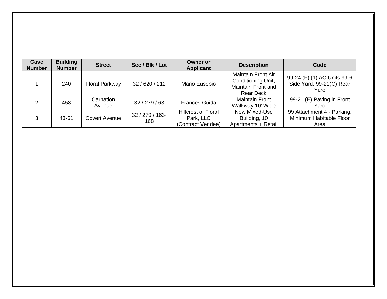| Case<br><b>Number</b> | <b>Building</b><br><b>Number</b> | <b>Street</b>         | Sec / Blk / Lot        | <b>Owner or</b><br><b>Applicant</b>                          | <b>Description</b>                                                                               | Code                                                            |
|-----------------------|----------------------------------|-----------------------|------------------------|--------------------------------------------------------------|--------------------------------------------------------------------------------------------------|-----------------------------------------------------------------|
|                       | 240                              | <b>Floral Parkway</b> | 32/620/212             | Mario Eusebio                                                | <b>Maintain Front Air</b><br>Conditioning Unit,<br><b>Maintain Front and</b><br><b>Rear Deck</b> | 99-24 (F) (1) AC Units 99-6<br>Side Yard, 99-21(C) Rear<br>Yard |
| $\mathcal{P}$         | 458                              | Carnation<br>Avenue   | 32/279/63              | <b>Frances Guida</b>                                         | <b>Maintain Front</b><br>Walkway 10' Wide                                                        | 99-21 (E) Paving in Front<br>Yard                               |
| 3                     | 43-61                            | <b>Covert Avenue</b>  | 32 / 270 / 163-<br>168 | <b>Hillcrest of Floral</b><br>Park, LLC<br>(Contract Vendee) | New Mixed-Use<br>Building, 10<br>Apartments + Retail                                             | 99 Attachment 4 - Parking,<br>Minimum Habitable Floor<br>Area   |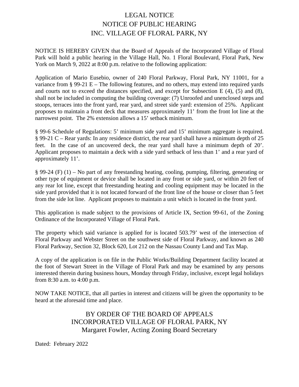# LEGAL NOTICE NOTICE OF PUBLIC HEARING INC. VILLAGE OF FLORAL PARK, NY

NOTICE IS HEREBY GIVEN that the Board of Appeals of the Incorporated Village of Floral Park will hold a public hearing in the Village Hall, No. 1 Floral Boulevard, Floral Park, New York on March 9, 2022 at 8:00 p.m. relative to the following application:

Application of Mario Eusebio, owner of 240 Floral Parkway, Floral Park, NY 11001, for a variance from § 99-21 E – The following features, and no others, may extend into required yards and courts not to exceed the distances specified, and except for Subsection E (4), (5) and (8), shall not be included in computing the building coverage: (7) Unroofed and unenclosed steps and stoops, terraces into the front yard, rear yard, and street side yard: extension of 25%. Applicant proposes to maintain a front deck that measures approximately 11' from the front lot line at the narrowest point. The 2% extension allows a 15' setback minimum.

§ 99-6 Schedule of Regulations: 5' minimum side yard and 15' minimum aggregate is required. § 99-21 C – Rear yards: In any residence district, the rear yard shall have a minimum depth of 25 feet. In the case of an uncovered deck, the rear yard shall have a minimum depth of 20'. Applicant proposes to maintain a deck with a side yard setback of less than 1' and a rear yard of approximately 11'.

§ 99-24 (F) (1) – No part of any freestanding heating, cooling, pumping, filtering, generating or other type of equipment or device shall be located in any front or side yard, or within 20 feet of any rear lot line, except that freestanding heating and cooling equipment may be located in the side yard provided that it is not located forward of the front line of the house or closer than 5 feet from the side lot line. Applicant proposes to maintain a unit which is located in the front yard.

This application is made subject to the provisions of Article IX, Section 99-61, of the Zoning Ordinance of the Incorporated Village of Floral Park.

The property which said variance is applied for is located 503.79' west of the intersection of Floral Parkway and Webster Street on the southwest side of Floral Parkway, and known as 240 Floral Parkway, Section 32, Block 620, Lot 212 on the Nassau County Land and Tax Map.

A copy of the application is on file in the Public Works/Building Department facility located at the foot of Stewart Street in the Village of Floral Park and may be examined by any persons interested therein during business hours, Monday through Friday, inclusive, except legal holidays from 8:30 a.m. to 4:00 p.m.

NOW TAKE NOTICE, that all parties in interest and citizens will be given the opportunity to be heard at the aforesaid time and place.

## BY ORDER OF THE BOARD OF APPEALS INCORPORATED VILLAGE OF FLORAL PARK, NY Margaret Fowler, Acting Zoning Board Secretary

Dated: February 2022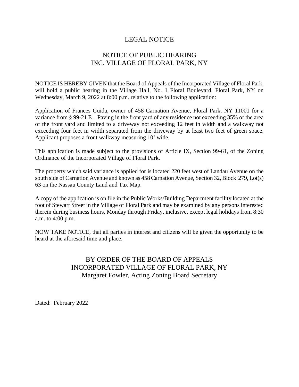#### LEGAL NOTICE

# NOTICE OF PUBLIC HEARING INC. VILLAGE OF FLORAL PARK, NY

NOTICE IS HEREBY GIVEN that the Board of Appeals of the Incorporated Village of Floral Park, will hold a public hearing in the Village Hall, No. 1 Floral Boulevard, Floral Park, NY on Wednesday, March 9, 2022 at 8:00 p.m. relative to the following application:

Application of Frances Guida, owner of 458 Carnation Avenue, Floral Park, NY 11001 for a variance from  $\S 99-21$  E – Paving in the front yard of any residence not exceeding 35% of the area of the front yard and limited to a driveway not exceeding 12 feet in width and a walkway not exceeding four feet in width separated from the driveway by at least two feet of green space. Applicant proposes a front walkway measuring 10' wide.

This application is made subject to the provisions of Article IX, Section 99-61, of the Zoning Ordinance of the Incorporated Village of Floral Park.

The property which said variance is applied for is located 220 feet west of Landau Avenue on the south side of Carnation Avenue and known as 458 Carnation Avenue, Section 32, Block 279, Lot(s) 63 on the Nassau County Land and Tax Map.

A copy of the application is on file in the Public Works/Building Department facility located at the foot of Stewart Street in the Village of Floral Park and may be examined by any persons interested therein during business hours, Monday through Friday, inclusive, except legal holidays from 8:30 a.m. to 4:00 p.m.

NOW TAKE NOTICE, that all parties in interest and citizens will be given the opportunity to be heard at the aforesaid time and place.

## BY ORDER OF THE BOARD OF APPEALS INCORPORATED VILLAGE OF FLORAL PARK, NY Margaret Fowler, Acting Zoning Board Secretary

Dated: February 2022